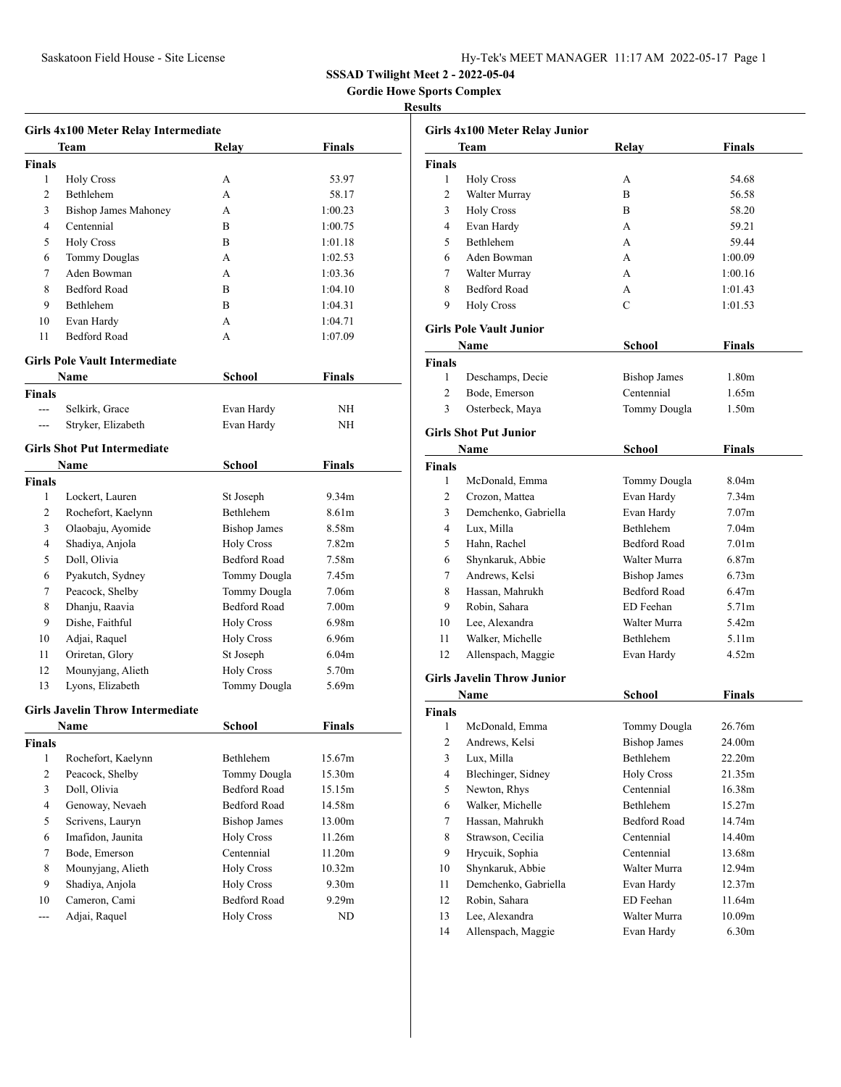## Saskatoon Field House - Site License Hy-Tek's MEET MANAGER 11:17 AM 2022-05-17 Page 1

**SSSAD Twilight Meet 2 - 2022-05-04**

 **Gordie Howe Sports Complex** 

#### **Results**

|                | Girls 4x100 Meter Relay Intermediate    |                     |                   |  |
|----------------|-----------------------------------------|---------------------|-------------------|--|
|                | Team                                    | Relay               | Finals            |  |
| Finals         |                                         |                     |                   |  |
| 1              | <b>Holy Cross</b>                       | A                   | 53.97             |  |
| 2              | Bethlehem                               | A                   | 58.17             |  |
| 3              | <b>Bishop James Mahoney</b>             | A                   | 1:00.23           |  |
| 4              | Centennial                              | B                   | 1:00.75           |  |
| 5              | <b>Holy Cross</b>                       | B                   | 1:01.18           |  |
| 6              | <b>Tommy Douglas</b>                    | A                   | 1:02.53           |  |
| 7              | Aden Bowman                             | A                   | 1:03.36           |  |
| 8              | <b>Bedford Road</b>                     | B                   | 1:04.10           |  |
| 9              | Bethlehem                               | B                   | 1:04.31           |  |
| 10             | Evan Hardy                              | A                   | 1:04.71           |  |
| 11             | <b>Bedford Road</b>                     | A                   | 1:07.09           |  |
|                | <b>Girls Pole Vault Intermediate</b>    |                     |                   |  |
|                | Name                                    | School              | Finals            |  |
| <b>Finals</b>  |                                         |                     |                   |  |
| $\overline{a}$ | Selkirk, Grace                          | Evan Hardy          | NΗ                |  |
|                | Stryker, Elizabeth                      | Evan Hardy          | NΗ                |  |
|                | <b>Girls Shot Put Intermediate</b>      |                     |                   |  |
|                | Name                                    | School              | Finals            |  |
| Finals         |                                         |                     |                   |  |
| 1              | Lockert, Lauren                         | St Joseph           | 9.34m             |  |
| 2              | Rochefort, Kaelynn                      | Bethlehem           | 8.61m             |  |
| 3              | Olaobaju, Ayomide                       | <b>Bishop James</b> | 8.58m             |  |
| 4              | Shadiya, Anjola                         | <b>Holy Cross</b>   | 7.82m             |  |
| 5              | Doll, Olivia                            | <b>Bedford Road</b> | 7.58m             |  |
| 6              | Pyakutch, Sydney                        | Tommy Dougla        | 7.45m             |  |
| 7              | Peacock, Shelby                         | Tommy Dougla        | 7.06m             |  |
| 8              | Dhanju, Raavia                          | <b>Bedford Road</b> | 7.00 <sub>m</sub> |  |
| 9              | Dishe, Faithful                         | <b>Holy Cross</b>   | 6.98m             |  |
| 10             | Adjai, Raquel                           | <b>Holy Cross</b>   | 6.96m             |  |
| 11             | Oriretan, Glory                         | St Joseph           | 6.04 <sub>m</sub> |  |
| 12             | Mounyjang, Alieth                       | <b>Holy Cross</b>   | 5.70m             |  |
| 13             | Lyons, Elizabeth                        | Tommy Dougla        | 5.69m             |  |
|                | <b>Girls Javelin Throw Intermediate</b> |                     |                   |  |
|                | Name                                    | School              | Finals            |  |
| Finals         |                                         |                     |                   |  |
| 1              | Rochefort, Kaelynn                      | Bethlehem           | 15.67m            |  |
| 2              | Peacock, Shelby                         | Tommy Dougla        | 15.30m            |  |
| 3              | Doll, Olivia                            | <b>Bedford Road</b> | 15.15m            |  |
| 4              | Genoway, Nevaeh                         | <b>Bedford Road</b> | 14.58m            |  |
| 5              | Scrivens, Lauryn                        | <b>Bishop James</b> | 13.00m            |  |
| 6              | Imafidon, Jaunita                       | <b>Holy Cross</b>   | 11.26m            |  |
| 7              | Bode, Emerson                           | Centennial          | 11.20m            |  |
| 8              | Mounyjang, Alieth                       | <b>Holy Cross</b>   | 10.32m            |  |
| 9              | Shadiya, Anjola                         | <b>Holy Cross</b>   | 9.30 <sub>m</sub> |  |
| 10             | Cameron, Cami                           | <b>Bedford Road</b> | 9.29m             |  |
| ---            | Adjai, Raquel                           | <b>Holy Cross</b>   | ND                |  |

| Girls 4x100 Meter Relay Junior |                                   |                     |                   |  |
|--------------------------------|-----------------------------------|---------------------|-------------------|--|
|                                | Team                              | Relay               | <b>Finals</b>     |  |
| Finals                         |                                   |                     |                   |  |
| 1                              | <b>Holy Cross</b>                 | А                   | 54.68             |  |
| 2                              | Walter Murray                     | B                   | 56.58             |  |
| 3                              | <b>Holy Cross</b>                 | B                   | 58.20             |  |
| 4                              | Evan Hardy                        | A                   | 59.21             |  |
| 5                              | Bethlehem                         | A                   | 59.44             |  |
| 6                              | Aden Bowman                       | A                   | 1:00.09           |  |
| 7                              | Walter Murray                     | А                   | 1:00.16           |  |
| 8                              | <b>Bedford Road</b>               | А                   | 1:01.43           |  |
| 9                              | <b>Holy Cross</b>                 | $\mathbf C$         | 1:01.53           |  |
|                                |                                   |                     |                   |  |
|                                | <b>Girls Pole Vault Junior</b>    |                     |                   |  |
|                                | Name                              | School              | Finals            |  |
| <b>Finals</b>                  |                                   |                     |                   |  |
| 1                              | Deschamps, Decie                  | <b>Bishop James</b> | 1.80 <sub>m</sub> |  |
| 2                              | Bode, Emerson                     | Centennial          | 1.65m             |  |
| 3                              | Osterbeck, Maya                   | Tommy Dougla        | 1.50 <sub>m</sub> |  |
|                                | <b>Girls Shot Put Junior</b>      |                     |                   |  |
|                                |                                   |                     |                   |  |
|                                | Name                              | School              | Finals            |  |
| <b>Finals</b>                  |                                   |                     |                   |  |
| 1                              | McDonald, Emma                    | Tommy Dougla        | 8.04m             |  |
| 2                              | Crozon, Mattea                    | Evan Hardy          | 7.34 <sub>m</sub> |  |
| 3                              | Demchenko, Gabriella              | Evan Hardy          | 7.07 <sub>m</sub> |  |
| 4                              | Lux, Milla                        | <b>Bethlehem</b>    | 7.04 <sub>m</sub> |  |
| 5                              | Hahn, Rachel                      | <b>Bedford Road</b> | 7.01 <sub>m</sub> |  |
| 6                              | Shynkaruk, Abbie                  | Walter Murra        | 6.87 <sub>m</sub> |  |
| 7                              | Andrews, Kelsi                    | <b>Bishop James</b> | 6.73 <sub>m</sub> |  |
| 8                              | Hassan, Mahrukh                   | <b>Bedford Road</b> | 6.47 <sub>m</sub> |  |
| 9                              | Robin, Sahara                     | ED Feehan           | 5.71m             |  |
| 10                             | Lee, Alexandra                    | Walter Murra        | 5.42m             |  |
| 11                             | Walker, Michelle                  | Bethlehem           | 5.11 <sub>m</sub> |  |
| 12                             | Allenspach, Maggie                | Evan Hardy          | 4.52m             |  |
|                                | <b>Girls Javelin Throw Junior</b> |                     |                   |  |
|                                | Name                              | School              | Finals            |  |
| Finals                         |                                   |                     |                   |  |
|                                | 1 McDonald, Emma                  | Tommy Dougla        | 26.76m            |  |
| 2                              | Andrews, Kelsi                    | <b>Bishop James</b> | 24.00m            |  |
| 3                              | Lux, Milla                        | Bethlehem           | 22.20m            |  |
| 4                              | Blechinger, Sidney                | <b>Holy Cross</b>   | 21.35m            |  |
|                                |                                   | Centennial          |                   |  |
| 5<br>6                         | Newton, Rhys<br>Walker, Michelle  | Bethlehem           | 16.38m<br>15.27m  |  |
|                                |                                   |                     |                   |  |
| 7                              | Hassan, Mahrukh                   | <b>Bedford Road</b> | 14.74m            |  |
| 8                              | Strawson, Cecilia                 | Centennial          | 14.40m            |  |
| 9                              | Hrycuik, Sophia                   | Centennial          | 13.68m            |  |
| 10                             | Shynkaruk, Abbie                  | Walter Murra        | 12.94m            |  |
| 11                             | Demchenko, Gabriella              | Evan Hardy          | 12.37m            |  |
| 12                             | Robin, Sahara                     | ED Feehan           | 11.64m            |  |
| 13                             | Lee, Alexandra                    | Walter Murra        | 10.09m            |  |
| 14                             | Allenspach, Maggie                | Evan Hardy          | 6.30m             |  |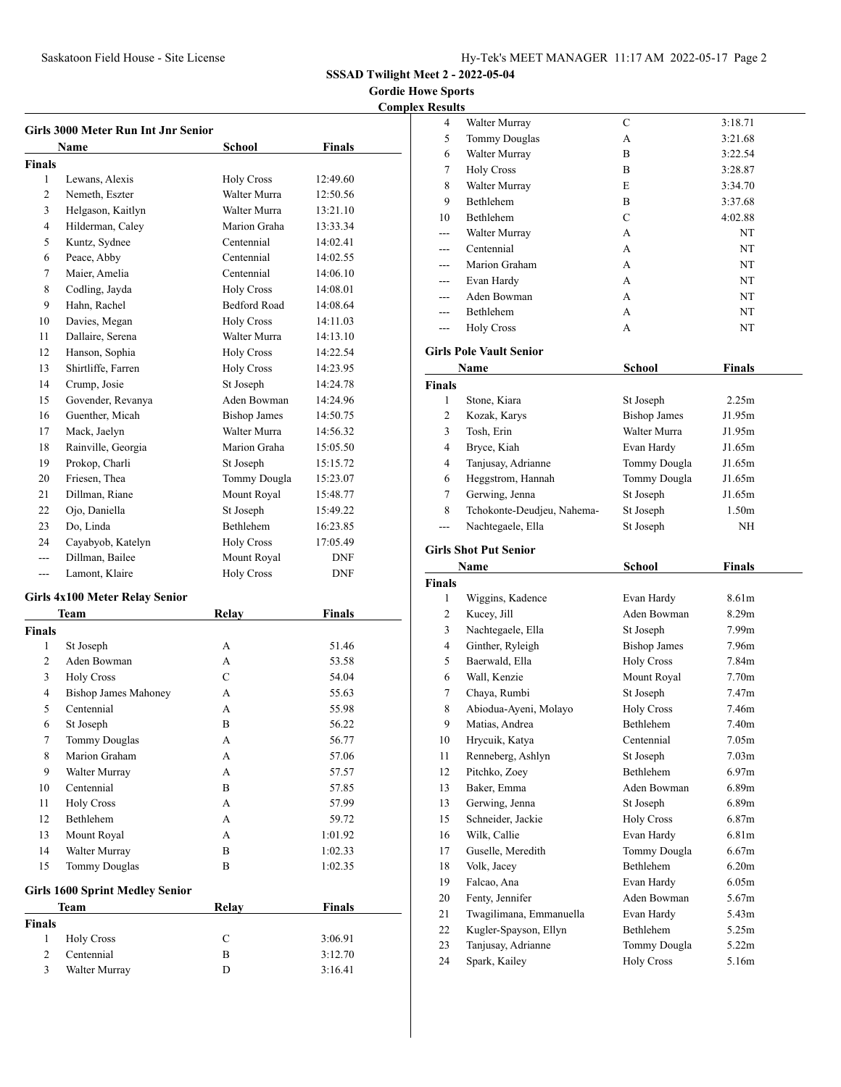**Gordie Howe Sports Complex** 

| <b>Girls 3000 Meter Run Int Jnr Senior</b> |                          |                     |            |  |  |
|--------------------------------------------|--------------------------|---------------------|------------|--|--|
|                                            | Finals<br>Name<br>School |                     |            |  |  |
| <b>Finals</b>                              |                          |                     |            |  |  |
| 1                                          | Lewans, Alexis           | <b>Holy Cross</b>   | 12:49.60   |  |  |
| $\overline{2}$                             | Nemeth, Eszter           | Walter Murra        | 12:50.56   |  |  |
| 3                                          | Helgason, Kaitlyn        | Walter Murra        | 13:21.10   |  |  |
| $\overline{4}$                             | Hilderman, Caley         | Marion Graha        | 13:33.34   |  |  |
| 5                                          | Kuntz, Sydnee            | Centennial          | 14:02.41   |  |  |
| 6                                          | Peace, Abby              | Centennial          | 14:02.55   |  |  |
| 7                                          | Maier, Amelia            | Centennial          | 14:06.10   |  |  |
| 8                                          | Codling, Jayda           | <b>Holy Cross</b>   | 14:08.01   |  |  |
| 9                                          | Hahn, Rachel             | <b>Bedford Road</b> | 14:08.64   |  |  |
| 10                                         | Davies, Megan            | <b>Holy Cross</b>   | 14:11.03   |  |  |
| 11                                         | Dallaire, Serena         | Walter Murra        | 14:13.10   |  |  |
| 12                                         | Hanson, Sophia           | <b>Holy Cross</b>   | 14:22.54   |  |  |
| 13                                         | Shirtliffe, Farren       | <b>Holy Cross</b>   | 14:23.95   |  |  |
| 14                                         | Crump, Josie             | St Joseph           | 14:24.78   |  |  |
| 15                                         | Govender, Revanya        | Aden Bowman         | 14:24.96   |  |  |
| 16                                         | Guenther, Micah          | <b>Bishop James</b> | 14:50.75   |  |  |
| 17                                         | Mack, Jaelyn             | Walter Murra        | 14:56.32   |  |  |
| 18                                         | Rainville, Georgia       | Marion Graha        | 15:05.50   |  |  |
| 19                                         | Prokop, Charli           | St Joseph           | 15:15.72   |  |  |
| 20                                         | Friesen. Thea            | Tommy Dougla        | 15:23.07   |  |  |
| 21                                         | Dillman, Riane           | Mount Royal         | 15:48.77   |  |  |
| 22                                         | Ojo, Daniella            | St Joseph           | 15:49.22   |  |  |
| 23                                         | Do, Linda                | <b>Bethlehem</b>    | 16:23.85   |  |  |
| 24                                         | Cayabyob, Katelyn        | <b>Holy Cross</b>   | 17:05.49   |  |  |
| ---                                        | Dillman, Bailee          | Mount Royal         | <b>DNF</b> |  |  |
| ---                                        | Lamont, Klaire           | <b>Holy Cross</b>   | <b>DNF</b> |  |  |

#### **Girls 4x100 Meter Relay Senior**

|                | Team                                   | Relay          | <b>Finals</b> |
|----------------|----------------------------------------|----------------|---------------|
| <b>Finals</b>  |                                        |                |               |
| $\mathbf{1}$   | St Joseph                              | A              | 51.46         |
| 2              | Aden Bowman                            | $\mathsf{A}$   | 53.58         |
| 3              | <b>Holy Cross</b>                      | $\mathcal{C}$  | 54.04         |
| $\overline{4}$ | <b>Bishop James Mahoney</b>            | A              | 55.63         |
| 5              | Centennial                             | $\mathsf{A}$   | 55.98         |
| 6              | St Joseph                              | B              | 56.22         |
| 7              | <b>Tommy Douglas</b>                   | A              | 56.77         |
| 8              | Marion Graham                          | $\mathsf{A}$   | 57.06         |
| 9              | Walter Murray                          | A              | 57.57         |
| 10             | Centennial                             | $\overline{B}$ | 57.85         |
| 11             | <b>Holy Cross</b>                      | $\mathsf{A}$   | 57.99         |
| 12             | <b>Bethlehem</b>                       | $\mathsf{A}$   | 59.72         |
| 13             | Mount Royal                            | $\mathsf{A}$   | 1:01.92       |
| 14             | Walter Murray                          | $\overline{B}$ | 1:02.33       |
| 15             | <b>Tommy Douglas</b>                   | B              | 1:02.35       |
|                | <b>Girls 1600 Sprint Medley Senior</b> |                |               |
|                | Team                                   | Relay          | <b>Finals</b> |
| <b>Finals</b>  |                                        |                |               |
| 1              | <b>Holy Cross</b>                      | $\mathcal{C}$  | 3:06.91       |
| $\overline{2}$ | Centennial                             | B              | 3:12.70       |
| 3              | Walter Murray                          | D              | 3:16.41       |

| <b>Results</b> |                                     |                                   |                   |  |
|----------------|-------------------------------------|-----------------------------------|-------------------|--|
| 4              | Walter Murray                       | C                                 | 3:18.71           |  |
| 5              | <b>Tommy Douglas</b>                | А                                 | 3:21.68           |  |
| 6              | Walter Murray                       | B                                 | 3:22.54           |  |
| 7              | <b>Holy Cross</b>                   | B                                 | 3:28.87           |  |
| 8              | Walter Murray                       | E                                 | 3:34.70           |  |
| 9              | Bethlehem                           | B                                 | 3:37.68           |  |
| 10             | Bethlehem                           | C                                 | 4:02.88           |  |
|                | Walter Murray                       | А                                 | NT                |  |
| ---            | Centennial                          | A                                 | NT                |  |
| ---            | Marion Graham                       | A                                 | NT                |  |
| ---            | Evan Hardy                          | A                                 | NT                |  |
| ---            | Aden Bowman                         | A                                 | NT                |  |
|                | Bethlehem                           | A                                 | NT                |  |
| ---            | <b>Holy Cross</b>                   | А                                 | NT                |  |
|                | <b>Girls Pole Vault Senior</b>      |                                   |                   |  |
|                | Name                                | <b>School</b>                     | <b>Finals</b>     |  |
| Finals         |                                     |                                   |                   |  |
| 1              | Stone, Kiara                        | St Joseph                         | 2.25m             |  |
| 2              | Kozak, Karys                        | <b>Bishop James</b>               | J1.95m            |  |
| 3              | Tosh, Erin                          | Walter Murra                      | J1.95m            |  |
| 4              | Bryce, Kiah                         | Evan Hardy                        | J1.65m            |  |
| $\overline{4}$ | Tanjusay, Adrianne                  | Tommy Dougla                      | J1.65m            |  |
| 6              | Heggstrom, Hannah                   | Tommy Dougla                      | J1.65m            |  |
| 7              | Gerwing, Jenna                      | St Joseph                         | J1.65m            |  |
| 8              | Tchokonte-Deudjeu, Nahema-          | St Joseph                         | 1.50 <sub>m</sub> |  |
| ---            | Nachtegaele, Ella                   | St Joseph                         | NH                |  |
|                |                                     |                                   |                   |  |
|                |                                     |                                   |                   |  |
|                | <b>Girls Shot Put Senior</b>        |                                   |                   |  |
|                | Name                                | School                            | <b>Finals</b>     |  |
| Finals         |                                     |                                   |                   |  |
| 1              | Wiggins, Kadence                    | Evan Hardy                        | 8.61m             |  |
| 2              | Kucey, Jill                         | Aden Bowman                       | 8.29m             |  |
| 3              | Nachtegaele, Ella                   | St Joseph                         | 7.99m             |  |
| 4              | Ginther, Ryleigh                    | <b>Bishop James</b>               | 7.96m             |  |
| 5              | Baerwald, Ella                      | <b>Holy Cross</b>                 | 7.84m             |  |
| 6              | Wall, Kenzie                        | Mount Royal                       | 7.70 <sub>m</sub> |  |
| 7              | Chaya, Rumbi                        | St Joseph                         | 7.47m             |  |
| 8              | Abiodua-Ayeni, Molayo               | <b>Holy Cross</b>                 | 7.46m             |  |
| 9              | Matias, Andrea                      | Bethlehem                         | 7.40m             |  |
| 10             | Hrycuik, Katya                      | Centennial                        | 7.05m             |  |
| 11             | Renneberg, Ashlyn                   | St Joseph                         | 7.03m             |  |
| 12             | Pitchko, Zoey                       | Bethlehem                         | 6.97m             |  |
| 13             | Baker, Emma                         | Aden Bowman                       | 6.89m             |  |
| 13             | Gerwing, Jenna                      | St Joseph                         | 6.89 <sub>m</sub> |  |
| 15             | Schneider, Jackie                   | <b>Holy Cross</b>                 | 6.87m             |  |
| 16<br>17       | Wilk, Callie                        | Evan Hardy                        | 6.81m<br>6.67m    |  |
|                | Guselle, Meredith                   | Tommy Dougla<br>Bethlehem         |                   |  |
| 18             | Volk, Jacey                         |                                   | 6.20m             |  |
| 19             | Falcao, Ana                         | Evan Hardy<br>Aden Bowman         | 6.05m             |  |
| 20             | Fenty, Jennifer                     |                                   | 5.67m             |  |
| 21             | Twagilimana, Emmanuella             | Evan Hardy<br>Bethlehem           | 5.43m             |  |
| 22             | Kugler-Spayson, Ellyn               |                                   | 5.25m             |  |
| 23<br>24       | Tanjusay, Adrianne<br>Spark, Kailey | Tommy Dougla<br><b>Holy Cross</b> | 5.22m<br>5.16m    |  |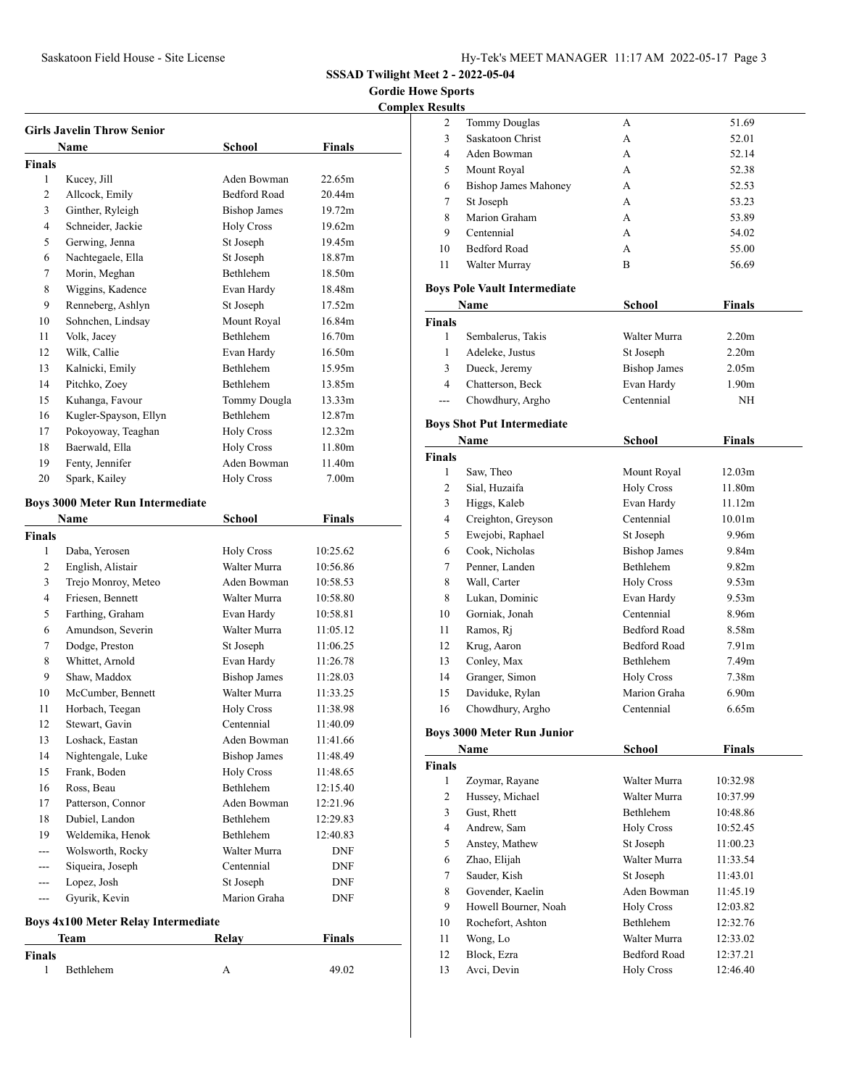**Gordie Howe Sports** 

**Complex Results**

| Girls Javelin Throw Senior |                                            |                                       |                   |  |
|----------------------------|--------------------------------------------|---------------------------------------|-------------------|--|
|                            | Name                                       | School                                | Finals            |  |
| Finals                     |                                            |                                       |                   |  |
| 1                          | Kucey, Jill                                | Aden Bowman                           | 22.65m            |  |
| 2                          | Allcock, Emily                             | <b>Bedford Road</b>                   | 20.44m            |  |
| 3                          | Ginther, Ryleigh                           | <b>Bishop James</b>                   | 19.72m            |  |
| 4                          | Schneider, Jackie                          | <b>Holy Cross</b>                     | 19.62m            |  |
| 5                          | Gerwing, Jenna                             | St Joseph                             | 19.45m            |  |
| 6                          | Nachtegaele, Ella                          | St Joseph                             | 18.87m            |  |
| 7                          | Morin, Meghan                              | Bethlehem                             | 18.50m            |  |
| 8                          | Wiggins, Kadence                           | Evan Hardy                            | 18.48m            |  |
| 9                          | Renneberg, Ashlyn                          | St Joseph                             | 17.52m            |  |
| 10                         | Sohnchen, Lindsay                          | Mount Royal                           | 16.84m            |  |
| 11                         | Volk, Jacey                                | <b>Bethlehem</b>                      | 16.70m            |  |
| 12                         | Wilk, Callie                               | Evan Hardy                            | 16.50m            |  |
| 13                         | Kalnicki, Emily                            | Bethlehem                             | 15.95m            |  |
| 14                         | Pitchko, Zoey                              | <b>Bethlehem</b>                      | 13.85m            |  |
| 15                         | Kuhanga, Favour                            | Tommy Dougla                          | 13.33m            |  |
| 16                         | Kugler-Spayson, Ellyn                      | Bethlehem                             | 12.87m            |  |
| 17                         | Pokoyoway, Teaghan                         | <b>Holy Cross</b>                     | 12.32m            |  |
| 18                         | Baerwald, Ella                             | <b>Holy Cross</b>                     | 11.80m            |  |
| 19                         | Fenty, Jennifer                            | Aden Bowman                           | 11.40m            |  |
| 20                         | Spark, Kailey                              | <b>Holy Cross</b>                     | 7.00 <sub>m</sub> |  |
|                            |                                            |                                       |                   |  |
|                            | <b>Boys 3000 Meter Run Intermediate</b>    |                                       |                   |  |
|                            | Name                                       | <b>School</b>                         | <b>Finals</b>     |  |
| Finals                     |                                            |                                       |                   |  |
| 1                          | Daba, Yerosen                              | <b>Holy Cross</b>                     | 10:25.62          |  |
| 2                          | English, Alistair                          | Walter Murra                          | 10:56.86          |  |
| 3                          | Trejo Monroy, Meteo                        | Aden Bowman                           | 10:58.53          |  |
| 4                          | Friesen, Bennett                           | Walter Murra                          | 10:58.80          |  |
| 5                          | Farthing, Graham                           | Evan Hardy                            | 10:58.81          |  |
| 6                          | Amundson, Severin                          | Walter Murra                          | 11:05.12          |  |
| 7                          | Dodge, Preston                             | St Joseph                             | 11:06.25          |  |
| 8                          | Whittet, Arnold                            | Evan Hardy                            | 11:26.78          |  |
| 9                          | Shaw, Maddox                               | <b>Bishop James</b><br>Walter Murra   | 11:28.03          |  |
| 10                         | McCumber, Bennett                          |                                       | 11:33.25          |  |
| 11                         | Horbach, Teegan                            | <b>Holy Cross</b>                     | 11:38.98          |  |
| 12                         | Stewart, Gavin                             | Centennial                            | 11:40.09          |  |
| 13                         | Loshack, Eastan                            | Aden Bowman                           | 11:41.66          |  |
| 14                         | Nightengale, Luke                          | <b>Bishop James</b>                   | 11:48.49          |  |
| 15                         | Frank, Boden<br>Ross, Beau                 | <b>Holy Cross</b><br><b>Bethlehem</b> | 11:48.65          |  |
| 16                         |                                            |                                       | 12:15.40          |  |
| 17                         | Patterson, Connor                          | Aden Bowman                           | 12:21.96          |  |
| 18                         | Dubiel, Landon                             | Bethlehem                             | 12:29.83          |  |
| 19                         | Weldemika, Henok                           | Bethlehem                             | 12:40.83          |  |
| ---                        | Wolsworth, Rocky                           | Walter Murra                          | DNF               |  |
| ---                        | Siqueira, Joseph                           | Centennial                            | DNF               |  |
| ---                        | Lopez, Josh<br>Gyurik, Kevin               | St Joseph<br>Marion Graha             | <b>DNF</b>        |  |
| $---$                      |                                            |                                       | DNF               |  |
|                            | <b>Boys 4x100 Meter Relay Intermediate</b> |                                       |                   |  |

| $\cdot$       | Team      | <br>Relay | <b>Finals</b> |
|---------------|-----------|-----------|---------------|
| <b>Finals</b> |           |           |               |
|               | Bethlehem |           | 49.02         |

| 2                  | <b>Tommy Douglas</b>                | А                        | 51.69              |  |
|--------------------|-------------------------------------|--------------------------|--------------------|--|
| 3                  | Saskatoon Christ                    | A                        | 52.01              |  |
| 4                  | Aden Bowman                         | A                        | 52.14              |  |
| 5                  | Mount Royal                         | A                        | 52.38              |  |
| 6                  | <b>Bishop James Mahoney</b>         | A                        | 52.53              |  |
| 7                  | St Joseph                           | A                        | 53.23              |  |
| 8                  | Marion Graham                       | A                        | 53.89              |  |
| 9                  | Centennial                          | A                        | 54.02              |  |
| 10                 | <b>Bedford Road</b>                 | A                        | 55.00              |  |
| 11                 | Walter Murray                       | B                        | 56.69              |  |
|                    | <b>Boys Pole Vault Intermediate</b> |                          |                    |  |
|                    | Name                                | <b>School</b>            | Finals             |  |
|                    |                                     |                          |                    |  |
| <b>Finals</b><br>1 |                                     |                          |                    |  |
|                    | Sembalerus, Takis                   | Walter Murra             | 2.20 <sub>m</sub>  |  |
| 1                  | Adeleke, Justus                     | St Joseph                | 2.20 <sub>m</sub>  |  |
| 3                  | Dueck, Jeremy                       | <b>Bishop James</b>      | 2.05 <sub>m</sub>  |  |
| 4                  | Chatterson, Beck                    | Evan Hardy               | 1.90 <sub>m</sub>  |  |
| $---$              | Chowdhury, Argho                    | Centennial               | NH                 |  |
|                    | <b>Boys Shot Put Intermediate</b>   |                          |                    |  |
|                    | Name                                | School                   | <b>Finals</b>      |  |
| <b>Finals</b>      |                                     |                          |                    |  |
| 1                  | Saw, Theo                           | Mount Royal              | 12.03m             |  |
| 2                  | Sial, Huzaifa                       | <b>Holy Cross</b>        | 11.80m             |  |
| 3                  | Higgs, Kaleb                        | Evan Hardy               | 11.12m             |  |
| 4                  | Creighton, Greyson                  | Centennial               | 10.01 <sub>m</sub> |  |
| 5                  | Ewejobi, Raphael                    | St Joseph                | 9.96m              |  |
| 6                  | Cook, Nicholas                      | <b>Bishop James</b>      | 9.84m              |  |
| 7                  | Penner, Landen                      | Bethlehem                | 9.82 <sub>m</sub>  |  |
| 8                  | Wall, Carter                        |                          | 9.53m              |  |
|                    |                                     | <b>Holy Cross</b>        |                    |  |
| 8                  | Lukan, Dominic                      | Evan Hardy<br>Centennial | 9.53m              |  |
| 10                 | Gorniak, Jonah                      |                          | 8.96m              |  |
| 11                 | Ramos, Ri                           | <b>Bedford Road</b>      | 8.58m              |  |
| 12                 | Krug, Aaron                         | <b>Bedford Road</b>      | 7.91 <sub>m</sub>  |  |
| 13                 | Conley, Max                         | Bethlehem                | 7.49 <sub>m</sub>  |  |
| 14                 | Granger, Simon                      | <b>Holy Cross</b>        | 7.38m              |  |
| 15                 | Daviduke, Rylan                     | Marion Graha             | 6.90 <sub>m</sub>  |  |
| 16                 | Chowdhury, Argho                    | Centennial               | 6.65m              |  |
|                    | <b>Boys 3000 Meter Run Junior</b>   |                          |                    |  |
|                    | Name                                | School                   | Finals             |  |
| <b>Finals</b>      |                                     |                          |                    |  |
| 1                  | Zoymar, Rayane                      | Walter Murra             | 10:32.98           |  |
| $\overline{2}$     | Hussey, Michael                     | Walter Murra             | 10:37.99           |  |
| 3                  | Gust, Rhett                         | <b>Bethlehem</b>         | 10:48.86           |  |
| 4                  | Andrew, Sam                         | <b>Holy Cross</b>        | 10:52.45           |  |
| 5                  | Anstey, Mathew                      | St Joseph                | 11:00.23           |  |
| 6                  | Zhao, Elijah                        | Walter Murra             | 11:33.54           |  |
| 7                  | Sauder, Kish                        | St Joseph                | 11:43.01           |  |
| 8                  | Govender, Kaelin                    | Aden Bowman              | 11:45.19           |  |
| 9                  | Howell Bourner, Noah                | <b>Holy Cross</b>        | 12:03.82           |  |
| 10                 | Rochefort, Ashton                   | Bethlehem                | 12:32.76           |  |
| 11                 | Wong, Lo                            | Walter Murra             | 12:33.02           |  |
| 12                 | Block, Ezra                         | <b>Bedford Road</b>      | 12:37.21           |  |
|                    |                                     |                          |                    |  |

13 Avci, Devin Holy Cross 12:46.40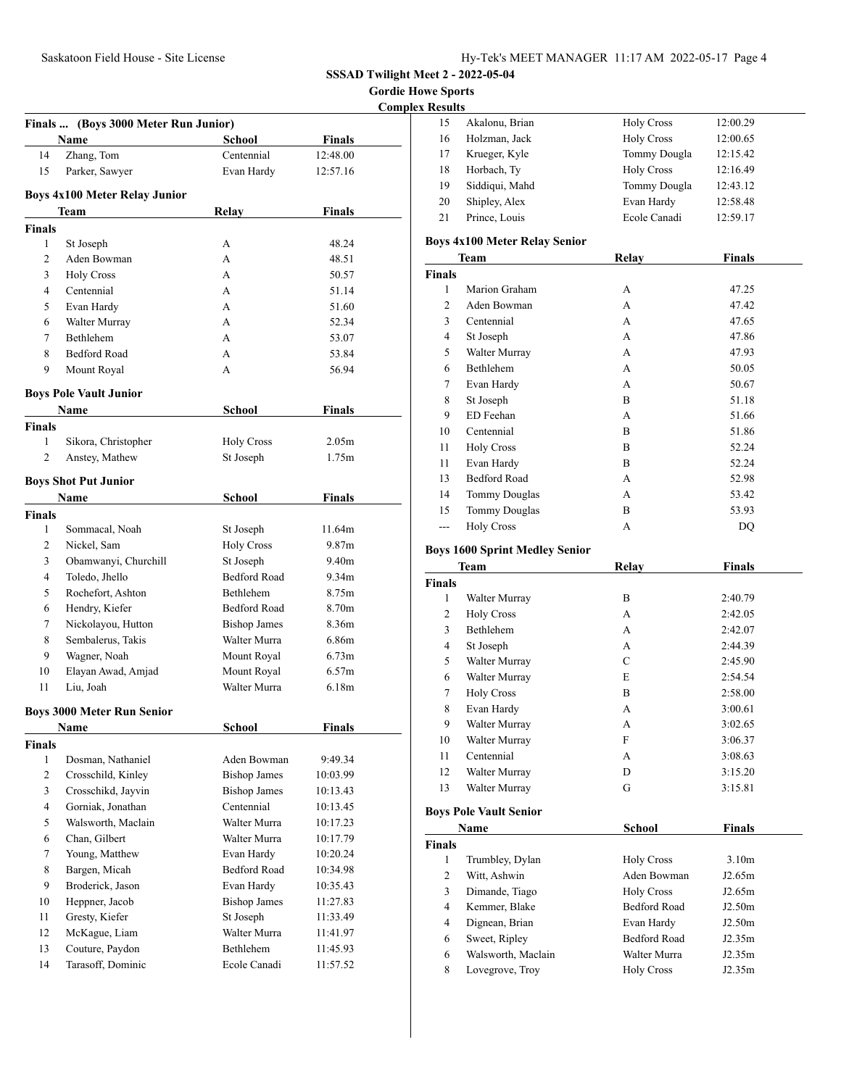**Gordie Howe Sports** 

**Complex Results** 

|                |                                      |                     | Complex           |
|----------------|--------------------------------------|---------------------|-------------------|
|                | Finals  (Boys 3000 Meter Run Junior) |                     |                   |
|                | Name                                 | <b>School</b>       | <b>Finals</b>     |
| 14             | Zhang, Tom                           | Centennial          | 12:48.00          |
| 15             | Parker, Sawyer                       | Evan Hardy          | 12:57.16          |
|                | <b>Boys 4x100 Meter Relay Junior</b> |                     |                   |
|                | Team                                 | Relay               | Finals            |
| <b>Finals</b>  |                                      |                     |                   |
| 1              | St Joseph                            | А                   | 48.24             |
| 2              | Aden Bowman                          | A                   | 48.51             |
| 3              | <b>Holy Cross</b>                    | A                   | 50.57             |
| 4              | Centennial                           | А                   | 51.14             |
| 5              | Evan Hardy                           | А                   | 51.60             |
| 6              | Walter Murray                        | A                   | 52.34             |
| 7              | Bethlehem                            | А                   | 53.07             |
| 8              | <b>Bedford Road</b>                  | А                   | 53.84             |
| 9              | Mount Royal                          | А                   | 56.94             |
|                | <b>Boys Pole Vault Junior</b>        |                     |                   |
|                | Name                                 | School              | Finals            |
| <b>Finals</b>  |                                      |                     |                   |
| 1              | Sikora, Christopher                  | <b>Holy Cross</b>   | 2.05 <sub>m</sub> |
| 2              | Anstey, Mathew                       | St Joseph           | 1.75m             |
|                | <b>Boys Shot Put Junior</b>          |                     |                   |
|                | Name                                 | <b>School</b>       | <b>Finals</b>     |
| <b>Finals</b>  |                                      |                     |                   |
| 1              | Sommacal, Noah                       | St Joseph           | 11.64m            |
| 2              | Nickel, Sam                          | <b>Holy Cross</b>   | 9.87 <sub>m</sub> |
| 3              | Obamwanyi, Churchill                 | St Joseph           | 9.40 <sub>m</sub> |
| 4              | Toledo, Jhello                       | <b>Bedford Road</b> | 9.34m             |
| 5              | Rochefort, Ashton                    | Bethlehem           | 8.75m             |
| 6              | Hendry, Kiefer                       | <b>Bedford Road</b> | 8.70m             |
| 7              | Nickolayou, Hutton                   | <b>Bishop James</b> | 8.36m             |
| 8              | Sembalerus, Takis                    | Walter Murra        | 6.86m             |
| 9              | Wagner, Noah                         | Mount Royal         | 6.73 <sub>m</sub> |
| 10             | Elayan Awad, Amjad                   | Mount Royal         | 6.57 <sub>m</sub> |
| 11             | Liu, Joah                            | Walter Murra        | 6.18m             |
|                | <b>Boys 3000 Meter Run Senior</b>    |                     |                   |
|                | Name                                 | <b>School</b>       | <b>Finals</b>     |
| <b>Finals</b>  |                                      |                     |                   |
| 1              | Dosman, Nathaniel                    | Aden Bowman         | 9:49.34           |
| $\overline{c}$ | Crosschild, Kinley                   | <b>Bishop James</b> | 10:03.99          |
| 3              | Crosschikd, Jayvin                   | <b>Bishop James</b> | 10:13.43          |
| 4              | Gorniak, Jonathan                    | Centennial          | 10:13.45          |
| 5              | Walsworth, Maclain                   | Walter Murra        | 10:17.23          |
| 6              | Chan, Gilbert                        | Walter Murra        | 10:17.79          |
| 7              | Young, Matthew                       | Evan Hardy          | 10:20.24          |
| 8              | Bargen, Micah                        | <b>Bedford Road</b> | 10:34.98          |
| 9              | Broderick, Jason                     | Evan Hardy          | 10:35.43          |
| 10             | Heppner, Jacob                       | <b>Bishop James</b> | 11:27.83          |
| 11             | Gresty, Kiefer                       | St Joseph           | 11:33.49          |
| 12             | McKague, Liam                        | Walter Murra        | 11:41.97          |
| 13             | Couture, Paydon                      | Bethlehem           | 11:45.93          |
| 14             | Tarasoff, Dominic                    | Ecole Canadi        | 11:57.52          |
|                |                                      |                     |                   |

| esuīts |                |                   |          |
|--------|----------------|-------------------|----------|
| 15     | Akalonu, Brian | <b>Holy Cross</b> | 12:00.29 |
| 16     | Holzman, Jack  | <b>Holy Cross</b> | 12:00.65 |
| 17     | Krueger, Kyle  | Tommy Dougla      | 12:15.42 |
| 18     | Horbach, Ty    | <b>Holy Cross</b> | 12:16.49 |
| 19     | Siddiqui, Mahd | Tommy Dougla      | 12:43.12 |
| 20     | Shipley, Alex  | Evan Hardy        | 12:58.48 |
| 21     | Prince, Louis  | Ecole Canadi      | 12:59.17 |
|        |                |                   |          |

#### **Boys 4x100 Meter Relay Senior**

| <b>Team</b>    |                      | Relay | <b>Finals</b> |
|----------------|----------------------|-------|---------------|
| <b>Finals</b>  |                      |       |               |
| 1              | Marion Graham        | А     | 47.25         |
| $\overline{c}$ | Aden Bowman          | А     | 47.42         |
| 3              | Centennial           | А     | 47.65         |
| $\overline{4}$ | St Joseph            | А     | 47.86         |
| 5              | Walter Murray        | А     | 47.93         |
| 6              | Bethlehem            | А     | 50.05         |
| 7              | Evan Hardy           | А     | 50.67         |
| 8              | St Joseph            | B     | 51.18         |
| 9              | ED Feehan            | А     | 51.66         |
| 10             | Centennial           | B     | 51.86         |
| 11             | <b>Holy Cross</b>    | B     | 52.24         |
| 11             | Evan Hardy           | B     | 52.24         |
| 13             | <b>Bedford Road</b>  | А     | 52.98         |
| 14             | <b>Tommy Douglas</b> | А     | 53.42         |
| 15             | <b>Tommy Douglas</b> | B     | 53.93         |
| ---            | <b>Holy Cross</b>    | А     | DO            |

# **Boys 1600 Sprint Medley Senior**

| Team           |                               | Relay               | <b>Finals</b>     |
|----------------|-------------------------------|---------------------|-------------------|
| <b>Finals</b>  |                               |                     |                   |
| 1              | Walter Murray                 | B                   | 2:40.79           |
| 2              | <b>Holy Cross</b>             | A                   | 2:42.05           |
| 3              | <b>Bethlehem</b>              | A                   | 2:42.07           |
| $\overline{4}$ | St Joseph                     | A                   | 2:44.39           |
| 5              | Walter Murray                 | $\mathcal{C}$       | 2:45.90           |
| 6              | Walter Murray                 | E                   | 2:54.54           |
| 7              | <b>Holy Cross</b>             | B                   | 2:58.00           |
| 8              | Evan Hardy                    | A                   | 3:00.61           |
| 9              | Walter Murray                 | A                   | 3:02.65           |
| 10             | Walter Murray                 | F                   | 3:06.37           |
| 11             | Centennial                    | A                   | 3:08.63           |
| 12             | Walter Murray                 | D                   | 3:15.20           |
| 13             | Walter Murray                 | G                   | 3:15.81           |
|                | <b>Boys Pole Vault Senior</b> |                     |                   |
|                | Name                          | School              | <b>Finals</b>     |
| <b>Finals</b>  |                               |                     |                   |
| 1              | Trumbley, Dylan               | <b>Holy Cross</b>   | 3.10 <sub>m</sub> |
| 2              | Witt, Ashwin                  | Aden Bowman         | J2.65m            |
| 3              | Dimande, Tiago                | <b>Holy Cross</b>   | J2.65m            |
| 4              | Kemmer, Blake                 | <b>Bedford Road</b> | J2.50m            |
| $\overline{4}$ | Dignean, Brian                | Evan Hardy          | J2.50m            |
| 6              | Sweet, Ripley                 | <b>Bedford Road</b> | J2.35m            |
| 6              | Walsworth, Maclain            | Walter Murra        | J2.35m            |
| 8              | Lovegrove, Troy               | <b>Holy Cross</b>   | J2.35m            |
|                |                               |                     |                   |